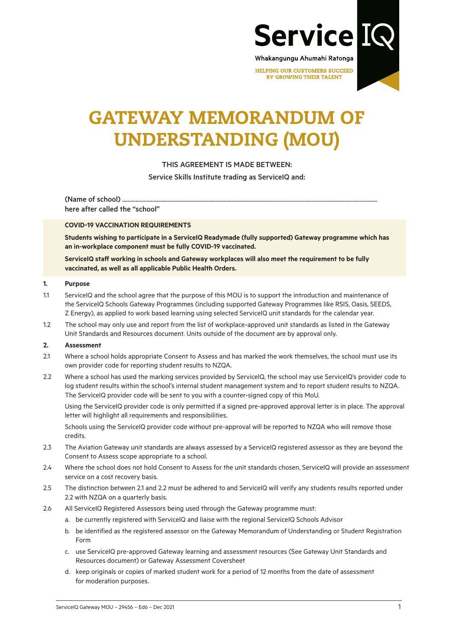

HELPING OUR CUSTOMERS SUCCEED **BY GROWING THEIR TALENT** 

# GATEWAY MEMORANDUM OF UNDERSTANDING (MOU)

# THIS AGREEMENT IS MADE BETWEEN:

Service Skills Institute trading as ServiceIQ and:

(Name of school)....... here after called the "school"

#### **COVID-19 VACCINATION REQUIREMENTS**

**Students wishing to participate in a ServiceIQ Readymade (fully supported) Gateway programme which has an in-workplace component must be fully COVID-19 vaccinated.**

**ServiceIQ staff working in schools and Gateway workplaces will also meet the requirement to be fully vaccinated, as well as all applicable Public Health Orders.**

#### **1. Purpose**

- 1.1 ServiceIQ and the school agree that the purpose of this MOU is to support the introduction and maintenance of the ServiceIQ Schools Gateway Programmes (including supported Gateway Programmes like RSIS, Oasis, SEEDS, Z Energy), as applied to work based learning using selected ServiceIQ unit standards for the calendar year.
- 1.2 The school may only use and report from the list of workplace-approved unit standards as listed in the Gateway Unit Standards and Resources document. Units outside of the document are by approval only.

#### **2. Assessment**

- 2.1 Where a school holds appropriate Consent to Assess and has marked the work themselves, the school must use its own provider code for reporting student results to NZQA.
- 2.2 Where a school has used the marking services provided by ServiceIQ, the school may use ServiceIQ's provider code to log student results within the school's internal student management system and to report student results to NZQA. The ServiceIQ provider code will be sent to you with a counter-signed copy of this MoU.

Using the ServiceIQ provider code is only permitted if a signed pre-approved approval letter is in place. The approval letter will highlight all requirements and responsibilities.

Schools using the ServiceIQ provider code without pre-approval will be reported to NZQA who will remove those credits.

- 2.3 The Aviation Gateway unit standards are always assessed by a ServiceIQ registered assessor as they are beyond the Consent to Assess scope appropriate to a school.
- 2.4 Where the school does not hold Consent to Assess for the unit standards chosen, ServiceIQ will provide an assessment service on a cost recovery basis.
- 2.5 The distinction between 2.1 and 2.2 must be adhered to and ServiceIQ will verify any students results reported under 2.2 with NZQA on a quarterly basis.
- 2.6 All ServiceIQ Registered Assessors being used through the Gateway programme must:
	- a. be currently registered with ServiceIQ and liaise with the regional ServiceIQ Schools Advisor
	- b. be identified as the registered assessor on the Gateway Memorandum of Understanding or Student Registration Form
	- c. use ServiceIQ pre-approved Gateway learning and assessment resources (See Gateway Unit Standards and Resources document) or Gateway Assessment Coversheet
	- d. keep originals or copies of marked student work for a period of 12 months from the date of assessment for moderation purposes.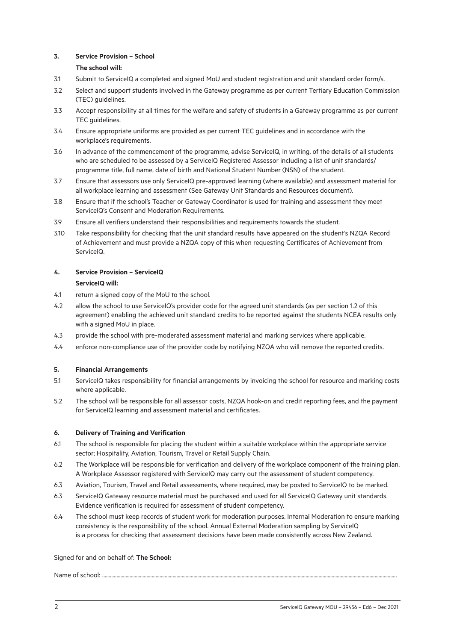## **3. Service Provision – School**

# **The school will:**

- 3.1 Submit to ServiceIQ a completed and signed MoU and student registration and unit standard order form/s.
- 3.2 Select and support students involved in the Gateway programme as per current Tertiary Education Commission (TEC) guidelines.
- 3.3 Accept responsibility at all times for the welfare and safety of students in a Gateway programme as per current TEC guidelines.
- 3.4 Ensure appropriate uniforms are provided as per current TEC guidelines and in accordance with the workplace's requirements.
- 3.6 In advance of the commencement of the programme, advise ServiceIQ, in writing, of the details of all students who are scheduled to be assessed by a ServiceIQ Registered Assessor including a list of unit standards/ programme title, full name, date of birth and National Student Number (NSN) of the student.
- 3.7 Ensure that assessors use only ServiceIQ pre-approved learning (where available) and assessment material for all workplace learning and assessment (See Gateway Unit Standards and Resources document).
- 3.8 Ensure that if the school's Teacher or Gateway Coordinator is used for training and assessment they meet ServiceIQ's Consent and Moderation Requirements.
- 3.9 Ensure all verifiers understand their responsibilities and requirements towards the student.
- 3.10 Take responsibility for checking that the unit standard results have appeared on the student's NZQA Record of Achievement and must provide a NZQA copy of this when requesting Certificates of Achievement from ServiceIQ.

# **4. Service Provision – ServiceIQ**

### **ServiceIQ will:**

- 4.1 return a signed copy of the MoU to the school.
- 4.2 allow the school to use ServiceIQ's provider code for the agreed unit standards (as per section 1.2 of this agreement) enabling the achieved unit standard credits to be reported against the students NCEA results only with a signed MoU in place.
- 4.3 provide the school with pre-moderated assessment material and marking services where applicable.
- 4.4 enforce non-compliance use of the provider code by notifying NZQA who will remove the reported credits.

# **5. Financial Arrangements**

- 5.1 ServiceIQ takes responsibility for financial arrangements by invoicing the school for resource and marking costs where applicable.
- 5.2 The school will be responsible for all assessor costs, NZQA hook-on and credit reporting fees, and the payment for ServiceIQ learning and assessment material and certificates.

# **6. Delivery of Training and Verification**

- 6.1 The school is responsible for placing the student within a suitable workplace within the appropriate service sector; Hospitality, Aviation, Tourism, Travel or Retail Supply Chain.
- 6.2 The Workplace will be responsible for verification and delivery of the workplace component of the training plan. A Workplace Assessor registered with ServiceIQ may carry out the assessment of student competency.
- 6.3 Aviation, Tourism, Travel and Retail assessments, where required, may be posted to ServiceIQ to be marked.
- 6.3 ServiceIQ Gateway resource material must be purchased and used for all ServiceIQ Gateway unit standards. Evidence verification is required for assessment of student competency.
- 6.4 The school must keep records of student work for moderation purposes. Internal Moderation to ensure marking consistency is the responsibility of the school. Annual External Moderation sampling by ServiceIQ is a process for checking that assessment decisions have been made consistently across New Zealand.

### Signed for and on behalf of: **The School:**

### Name of school: ......